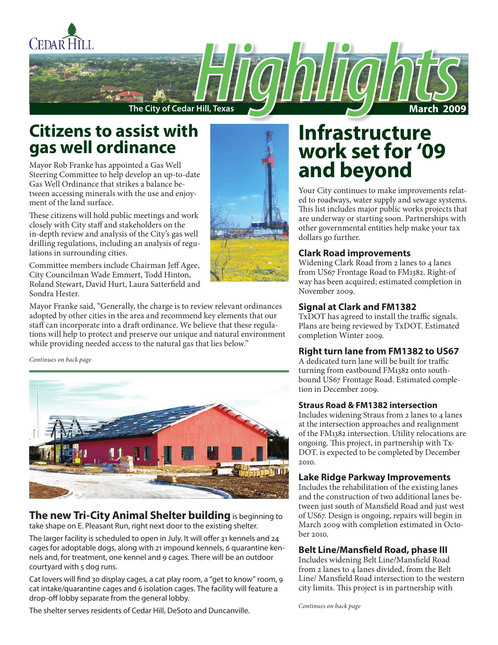

## **Citizens to assist with gas well ordinance**

Mayor Rob Franke has appointed a Gas Well Steering Committee to help develop an up-to-date Gas Well Ordinance that strikes a balance between accessing minerals with the use and enjoyment of the land surface.

These citizens will hold public meetings and work closely with City staff and stakeholders on the in-depth review and analysis of the City's gas well drilling regulations, including an analysis of regulations in surrounding cities.

Committee members include Chairman Jeff Agee, City Councilman Wade Emmert, Todd Hinton, Roland Stewart, David Hurt, Laura Satterfield and Sondra Hester.



Mayor Franke said, "Generally, the charge is to review relevant ordinances adopted by other cities in the area and recommend key elements that our staff can incorporate into a draft ordinance. We believe that these regulations will help to protect and preserve our unique and natural environment while providing needed access to the natural gas that lies below."

*Continues on back page*



**The new Tri-City Animal Shelter building** is beginning to take shape on E. Pleasant Run, right next door to the existing shelter.

The larger facility is scheduled to open in July. It will offer 31 kennels and 24 cages for adoptable dogs, along with 21 impound kennels, 6 quarantine kennels and, for treatment, one kennel and 9 cages. There will be an outdoor courtyard with 5 dog runs.

Cat lovers will find 30 display cages, a cat play room, a "get to know" room, 9 cat intake/quarantine cages and 6 isolation cages. The facility will feature a drop-off lobby separate from the general lobby.

The shelter serves residents of Cedar Hill, DeSoto and Duncanville.

## **Infrastructure work set for '09 and beyond**

Your City continues to make improvements related to roadways, water supply and sewage systems. This list includes major public works projects that are underway or starting soon. Partnerships with other governmental entities help make your tax dollars go further.

#### **Clark Road improvements**

Widening Clark Road from 2 lanes to 4 lanes from US67 Frontage Road to FM1382. Right-of way has been acquired; estimated completion in November 2009.

#### **Signal at Clark and FM1382**

TxDOT has agreed to install the traffic signals. Plans are being reviewed by TxDOT. Estimated completion Winter 2009.

#### **Right turn lane from FM1382 to US67**

A dedicated turn lane will be built for traffic turning from eastbound FM1382 onto southbound US67 Frontage Road. Estimated completion in December 2009.

#### **Straus Road & FM1382 intersection**

Includes widening Straus from 2 lanes to 4 lanes at the intersection approaches and realignment of the FM1382 intersection. Utility relocations are ongoing. This project, in partnership with Tx-DOT. is expected to be completed by December 2010.

#### **Lake Ridge Parkway Improvements**

Includes the rehabilitation of the existing lanes and the construction of two additional lanes between just south of Mansfield Road and just west of US67. Design is ongoing, repairs will begin in March 2009 with completion estimated in October 2010.

#### **Belt Line/Mansfield Road, phase III**

Includes widening Belt Line/Mansfield Road from 2 lanes to 4 lanes divided, from the Belt Line/ Mansfield Road intersection to the western city limits. This project is in partnership with

*Continues on back page*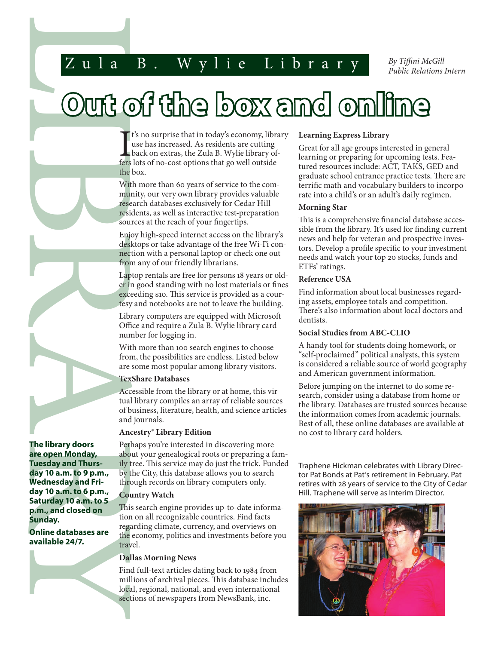## Zula B. Wylie Library

*By Tiffini McGill Public Relations Intern*

# **Out of the box and online**

**T** t's no surprise that in today's economy, library use has increased. As residents are cutting back on extras, the Zula B. Wylie library offers lots of no-cost options that go well outside the box.

With more than 60 years of service to the community, our very own library provides valuable research databases exclusively for Cedar Hill residents, as well as interactive test-preparation sources at the reach of your fingertips.

Enjoy high-speed internet access on the library's desktops or take advantage of the free Wi-Fi connection with a personal laptop or check one out from any of our friendly librarians.

Laptop rentals are free for persons 18 years or older in good standing with no lost materials or fines exceeding \$10. This service is provided as a courtesy and notebooks are not to leave the building.

Library computers are equipped with Microsoft Office and require a Zula B. Wylie library card number for logging in.

With more than 100 search engines to choose from, the possibilities are endless. Listed below are some most popular among library visitors.

#### **TexShare Databases**

Accessible from the library or at home, this virtual library compiles an array of reliable sources of business, literature, health, and science articles and journals.

#### **Ancestry® Library Edition**

Perhaps you're interested in discovering more about your genealogical roots or preparing a family tree. This service may do just the trick. Funded by the City, this database allows you to search through records on library computers only.

#### **Country Watch**

This search engine provides up-to-date information on all recognizable countries. Find facts regarding climate, currency, and overviews on the economy, politics and investments before you travel.

#### **Dallas Morning News**

Find full-text articles dating back to 1984 from millions of archival pieces. This database includes local, regional, national, and even international sections of newspapers from NewsBank, inc.

#### **Learning Express Library**

Great for all age groups interested in general learning or preparing for upcoming tests. Featured resources include: ACT, TAKS, GED and graduate school entrance practice tests. There are terrific math and vocabulary builders to incorporate into a child's or an adult's daily regimen.

#### **Morning Star**

This is a comprehensive financial database accessible from the library. It's used for finding current news and help for veteran and prospective investors. Develop a profile specific to your investment needs and watch your top 20 stocks, funds and ETFs' ratings.

#### **Reference USA**

Find information about local businesses regarding assets, employee totals and competition. There's also information about local doctors and dentists.

#### **Social Studies from ABC-CLIO**

A handy tool for students doing homework, or "self-proclaimed" political analysts, this system is considered a reliable source of world geography and American government information.

Before jumping on the internet to do some research, consider using a database from home or the library. Databases are trusted sources because the information comes from academic journals. Best of all, these online databases are available at no cost to library card holders.

Traphene Hickman celebrates with Library Director Pat Bonds at Pat's retirement in February. Pat retires with 28 years of service to the City of Cedar Hill. Traphene will serve as Interim Director.



LIBRARY I **The library doors are open Monday, Tuesday and Thursday 10 a.m. to 9 p.m., Wednesday and Friday 10 a.m. to 6 p.m., Saturday 10 a.m. to 5 p.m., and closed on Sunday.**

**Online databases are available 24/7.**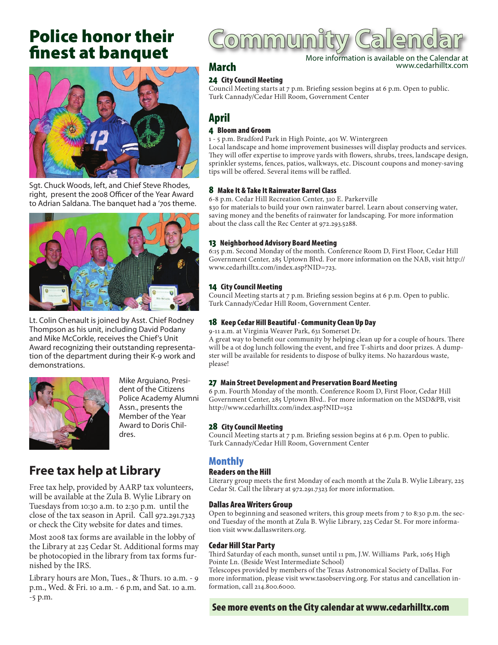## Police honor their finest at banquet



Sgt. Chuck Woods, left, and Chief Steve Rhodes, right, present the 2008 Officer of the Year Award to Adrian Saldana. The banquet had a '70s theme.



Lt. Colin Chenault is joined by Asst. Chief Rodney Thompson as his unit, including David Podany and Mike McCorkle, receives the Chief's Unit Award recognizing their outstanding representation of the department during their K-9 work and demonstrations.



Mike Arguiano, President of the Citizens Police Academy Alumni Assn., presents the Member of the Year Award to Doris Childres.

## **Free tax help at Library**

Free tax help, provided by AARP tax volunteers, will be available at the Zula B. Wylie Library on Tuesdays from 10:30 a.m. to 2:30 p.m. until the close of the tax season in April. Call 972.291.7323 or check the City website for dates and times.

Most 2008 tax forms are available in the lobby of the Library at 225 Cedar St. Additional forms may be photocopied in the library from tax forms furnished by the IRS.

Library hours are Mon, Tues., & Thurs. 10 a.m. - 9 p.m., Wed. & Fri. 10 a.m. - 6 p.m, and Sat. 10 a.m. -5 p.m.

## ommun

More information is available on the Calendar at www.cedarhilltx.com

## March

24 City Council Meeting

Council Meeting starts at 7 p.m. Briefing session begins at 6 p.m. Open to public. Turk Cannady/Cedar Hill Room, Government Center

### April

#### 4 Bloom and Groom

1 - 5 p.m. Bradford Park in High Pointe, 401 W. Wintergreen Local landscape and home improvement businesses will display products and services. They will offer expertise to improve yards with flowers, shrubs, trees, landscape design, sprinkler systems, fences, patios, walkways, etc. Discount coupons and money-saving tips will be offered. Several items will be raffled.

#### 8 Make It & Take It Rainwater Barrel Class

6-8 p.m. Cedar Hill Recreation Center, 310 E. Parkerville \$30 for materials to build your own rainwater barrel. Learn about conserving water, saving money and the benefits of rainwater for landscaping. For more information about the class call the Rec Center at 972.293.5288.

#### 13 Neighborhood Advisory Board Meeting

6:15 p.m. Second Monday of the month. Conference Room D, First Floor, Cedar Hill Government Center, 285 Uptown Blvd. For more information on the NAB, visit http:// www.cedarhilltx.com/index.asp?NID=723.

#### 14 City Council Meeting

Council Meeting starts at 7 p.m. Briefing session begins at 6 p.m. Open to public. Turk Cannady/Cedar Hill Room, Government Center.

#### 18 Keep Cedar Hill Beautiful - Community Clean Up Day

9-11 a.m. at Virginia Weaver Park, 631 Somerset Dr.

A great way to benefit our community by helping clean up for a couple of hours. There will be a ot dog lunch following the event, and free T-shirts and door prizes. A dumpster will be available for residents to dispose of bulky items. No hazardous waste, please!

#### 27 Main Street Development and Preservation Board Meeting

6 p.m. Fourth Monday of the month. Conference Room D, First Floor, Cedar Hill Government Center, 285 Uptown Blvd.. For more information on the MSD&PB, visit http://www.cedarhilltx.com/index.asp?NID=152

#### 28 City Council Meeting

Council Meeting starts at 7 p.m. Briefing session begins at 6 p.m. Open to public. Turk Cannady/Cedar Hill Room, Government Center

#### Monthly

#### Readers on the Hill

Literary group meets the first Monday of each month at the Zula B. Wylie Library, 225 Cedar St. Call the library at 972.291.7323 for more information.

#### Dallas Area Writers Group

Open to beginning and seasoned writers, this group meets from 7 to 8:30 p.m. the second Tuesday of the month at Zula B. Wylie Library, 225 Cedar St. For more information visit www.dallaswriters.org.

#### Cedar Hill Star Party

Third Saturday of each month, sunset until 11 pm, J.W. Williams Park, 1065 High Pointe Ln. (Beside West Intermediate School)

Telescopes provided by members of the Texas Astronomical Society of Dallas. For more information, please visit www.tasobserving.org. For status and cancellation information, call 214.800.6000.

#### See more events on the City calendar at www.cedarhilltx.com